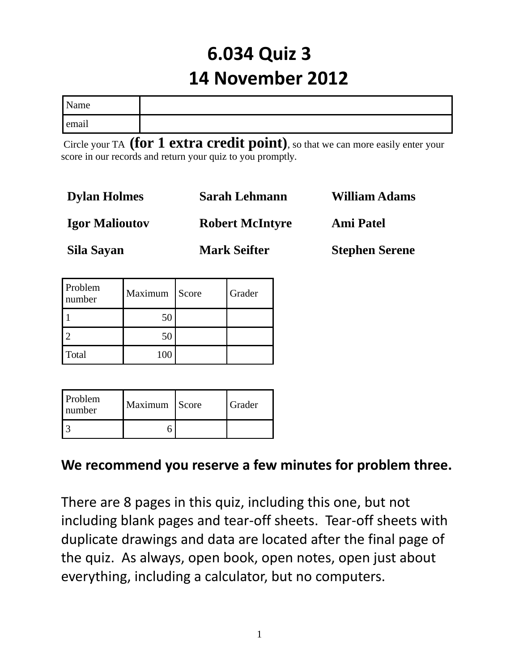# **6.034 Quiz 3 14 November 2012**

| Name  |  |
|-------|--|
| email |  |

 Circle your TA **(for 1 extra credit point)**, so that we can more easily enter your score in our records and return your quiz to you promptly.

| <b>Dylan Holmes</b>   | Sarah Lehmann          | <b>William Adams</b>  |
|-----------------------|------------------------|-----------------------|
| <b>Igor Malioutov</b> | <b>Robert McIntyre</b> | <b>Ami Patel</b>      |
| Sila Sayan            | <b>Mark Seifter</b>    | <b>Stephen Serene</b> |

| Problem<br>number | Maximum Score | Grader |
|-------------------|---------------|--------|
|                   | 50            |        |
|                   | 50            |        |
| Total             | 100           |        |

| <b>Problem</b><br>number | Maximum Score | Grader |
|--------------------------|---------------|--------|
|                          |               |        |

**We recommend you reserve a few minutes for problem three.**

There are 8 pages in this quiz, including this one, but not including blank pages and tear-off sheets. Tear-off sheets with duplicate drawings and data are located after the final page of the quiz. As always, open book, open notes, open just about everything, including a calculator, but no computers.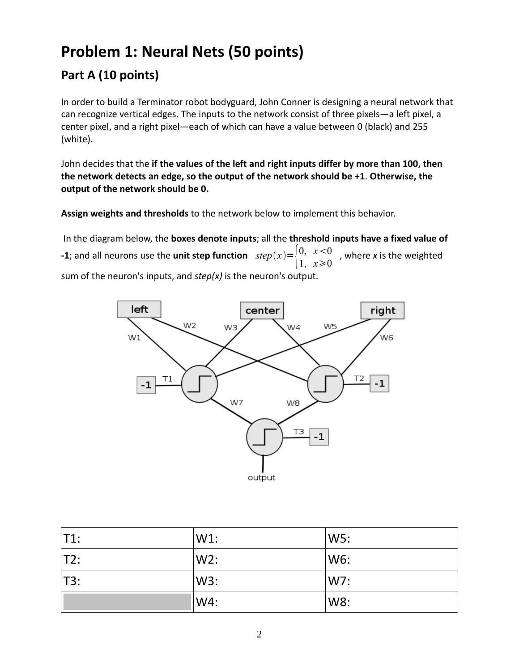## **Problem 1: Neural Nets (50 points)**

### **Part A (10 points)**

In order to build a Terminator robot bodyguard, John Conner is designing a neural network that can recognize vertical edges. The inputs to the network consist of three pixels—a left pixel, a center pixel, and a right pixel—each of which can have a value between 0 (black) and 255 (white).

John decides that the **if the values of the left and right inputs differ by more than 100, then the network detects an edge, so the output of the network should be +1**. **Otherwise, the output of the network should be 0.**

**Assign weights and thresholds** to the network below to implement this behavior.

 In the diagram below, the **boxes denote inputs**; all the **threshold inputs have a fixed value of -1**; and all neurons use the **unit step function**  $step(x) = \begin{cases} 0, & x < 0 \\ 1, & x \geq 0 \end{cases}$ 1,  $x \ge 0$ , where *x* is the weighted sum of the neuron's inputs, and *step(x)* is the neuron's output.



| T1: | $W1$ : | W5: |
|-----|--------|-----|
| T2: | $W2$ : | W6: |
| T3: | W3:    | W7: |
|     | W4:    | W8: |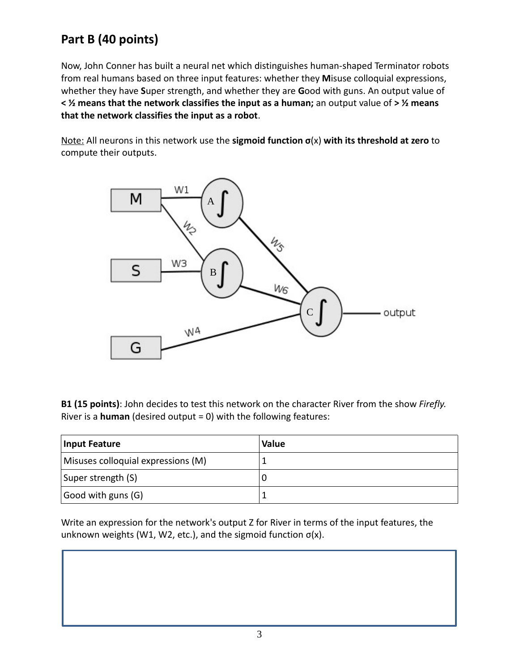### **Part B (40 points)**

Now, John Conner has built a neural net which distinguishes human-shaped Terminator robots from real humans based on three input features: whether they **M**isuse colloquial expressions, whether they have **S**uper strength, and whether they are **G**ood with guns. An output value of **< ½ means that the network classifies the input as a human;** an output value of **> ½ means that the network classifies the input as a robot**.

Note: All neurons in this network use the **sigmoid function σ**(x) **with its threshold at zero** to compute their outputs.



**B1 (15 points)**: John decides to test this network on the character River from the show *Firefly.* River is a **human** (desired output = 0) with the following features:

| <b>Input Feature</b>               | <b>Value</b> |
|------------------------------------|--------------|
| Misuses colloquial expressions (M) |              |
| Super strength (S)                 |              |
| $\vert$ Good with guns (G)         |              |

Write an expression for the network's output Z for River in terms of the input features, the unknown weights (W1, W2, etc.), and the sigmoid function σ(x).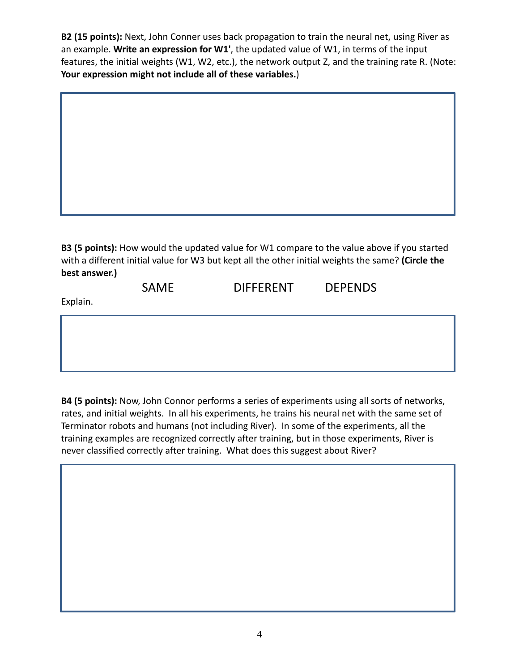**B2 (15 points):** Next, John Conner uses back propagation to train the neural net, using River as an example. **Write an expression for W1'**, the updated value of W1, in terms of the input features, the initial weights (W1, W2, etc.), the network output Z, and the training rate R. (Note: **Your expression might not include all of these variables.**)



SAME DIFFERENT DEPENDS

Explain.

**B4 (5 points):** Now, John Connor performs a series of experiments using all sorts of networks, rates, and initial weights. In all his experiments, he trains his neural net with the same set of Terminator robots and humans (not including River). In some of the experiments, all the training examples are recognized correctly after training, but in those experiments, River is never classified correctly after training. What does this suggest about River?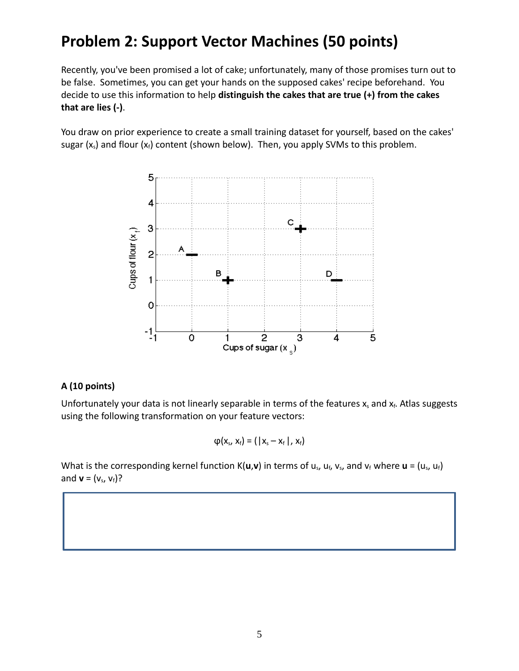## **Problem 2: Support Vector Machines (50 points)**

Recently, you've been promised a lot of cake; unfortunately, many of those promises turn out to be false. Sometimes, you can get your hands on the supposed cakes' recipe beforehand. You decide to use this information to help **distinguish the cakes that are true (+) from the cakes that are lies (-)**.

You draw on prior experience to create a small training dataset for yourself, based on the cakes' sugar  $(x_s)$  and flour  $(x_f)$  content (shown below). Then, you apply SVMs to this problem.



#### **A (10 points)**

Unfortunately your data is not linearly separable in terms of the features  $x_s$  and  $x_f$ . Atlas suggests using the following transformation on your feature vectors:

$$
\varphi(x_s, x_f) = ( |x_s - x_f|, x_f)
$$

What is the corresponding kernel function  $K(u,v)$  in terms of  $u_s$ ,  $u_f$ ,  $v_s$ , and  $v_f$  where  $u = (u_s, u_f)$ and **v** =  $(v_s, v_f)$ ?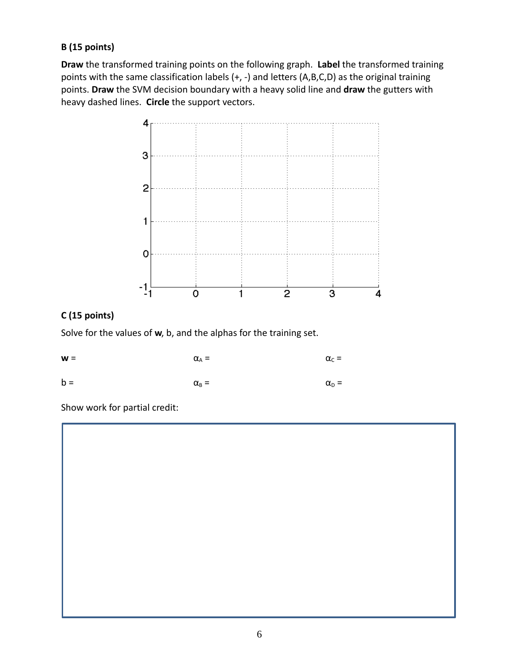#### **B (15 points)**

**Draw** the transformed training points on the following graph. **Label** the transformed training points with the same classification labels (+, -) and letters (A,B,C,D) as the original training points. **Draw** the SVM decision boundary with a heavy solid line and **draw** the gutters with heavy dashed lines. **Circle** the support vectors.



#### **C (15 points)**

Solve for the values of **w**, b, and the alphas for the training set.

| $W =$ | $\alpha_A =$       | $\alpha_c =$   |
|-------|--------------------|----------------|
| $b =$ | $\alpha_{\rm B} =$ | $\alpha_{D} =$ |

Show work for partial credit: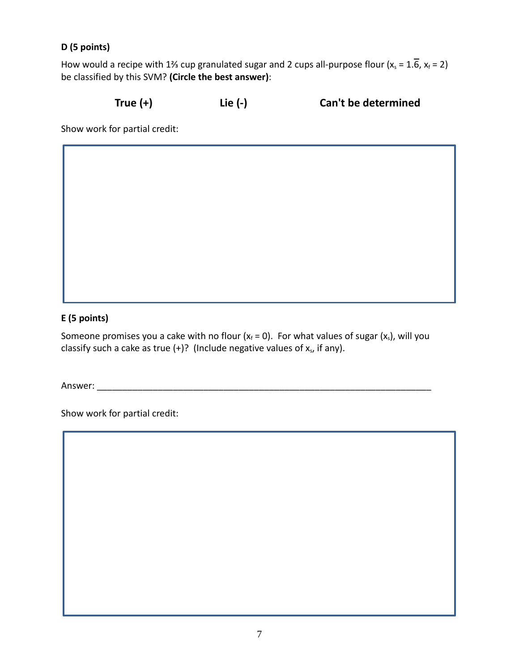#### **D (5 points)**

How would a recipe with 1¾ cup granulated sugar and 2 cups all-purpose flour ( $x_s = 1.\overline{6}$ ,  $x_f = 2$ ) be classified by this SVM? **(Circle the best answer)**:

**True (+) Lie (-) Can't be determined**

Show work for partial credit:

#### **E (5 points)**

Someone promises you a cake with no flour  $(x_f = 0)$ . For what values of sugar  $(x_s)$ , will you classify such a cake as true  $(+)$ ? (Include negative values of  $x<sub>s</sub>$ , if any).

Answer:

Show work for partial credit: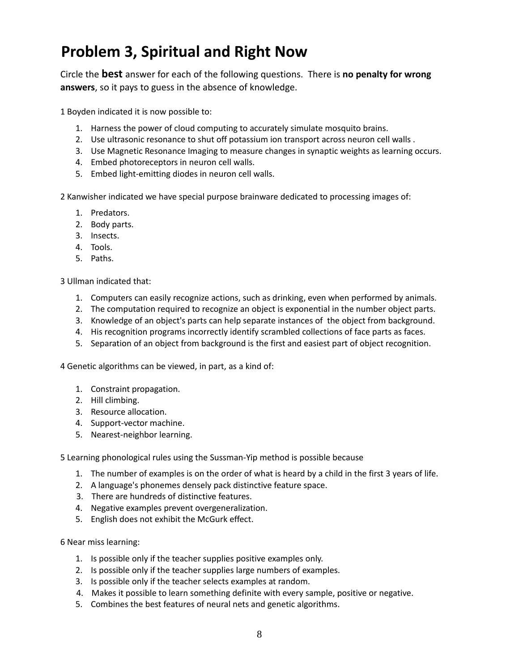## **Problem 3, Spiritual and Right Now**

Circle the **best** answer for each of the following questions. There is **no penalty for wrong answers**, so it pays to guess in the absence of knowledge.

1 Boyden indicated it is now possible to:

- 1. Harness the power of cloud computing to accurately simulate mosquito brains.
- 2. Use ultrasonic resonance to shut off potassium ion transport across neuron cell walls .
- 3. Use Magnetic Resonance Imaging to measure changes in synaptic weights as learning occurs.
- 4. Embed photoreceptors in neuron cell walls.
- 5. Embed light-emitting diodes in neuron cell walls.

2 Kanwisher indicated we have special purpose brainware dedicated to processing images of:

- 1. Predators.
- 2. Body parts.
- 3. Insects.
- 4. Tools.
- 5. Paths.

3 Ullman indicated that:

- 1. Computers can easily recognize actions, such as drinking, even when performed by animals.
- 2. The computation required to recognize an object is exponential in the number object parts.
- 3. Knowledge of an object's parts can help separate instances of the object from background.
- 4. His recognition programs incorrectly identify scrambled collections of face parts as faces.
- 5. Separation of an object from background is the first and easiest part of object recognition.

4 Genetic algorithms can be viewed, in part, as a kind of:

- 1. Constraint propagation.
- 2. Hill climbing.
- 3. Resource allocation.
- 4. Support-vector machine.
- 5. Nearest-neighbor learning.

5 Learning phonological rules using the Sussman-Yip method is possible because

- 1. The number of examples is on the order of what is heard by a child in the first 3 years of life.
- 2. A language's phonemes densely pack distinctive feature space.
- 3. There are hundreds of distinctive features.
- 4. Negative examples prevent overgeneralization.
- 5. English does not exhibit the McGurk effect.

6 Near miss learning:

- 1. Is possible only if the teacher supplies positive examples only.
- 2. Is possible only if the teacher supplies large numbers of examples.
- 3. Is possible only if the teacher selects examples at random.
- 4. Makes it possible to learn something definite with every sample, positive or negative.
- 5. Combines the best features of neural nets and genetic algorithms.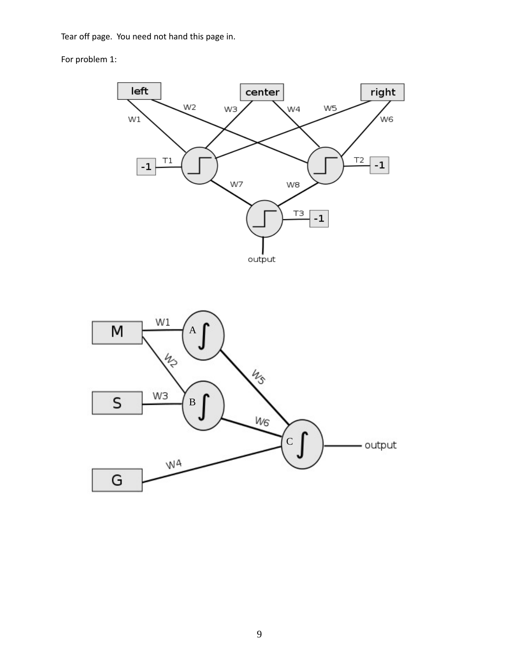Tear off page. You need not hand this page in.

For problem 1: